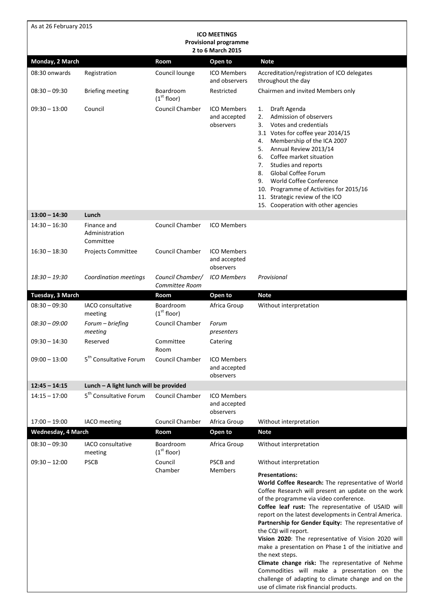| As at 26 February 2015                            |                                            |                                      |                                                 |                                                                                                                                                                                                                                                                                                                                                                                                                                                                                                                                                                                                                                                                                                 |  |  |  |  |
|---------------------------------------------------|--------------------------------------------|--------------------------------------|-------------------------------------------------|-------------------------------------------------------------------------------------------------------------------------------------------------------------------------------------------------------------------------------------------------------------------------------------------------------------------------------------------------------------------------------------------------------------------------------------------------------------------------------------------------------------------------------------------------------------------------------------------------------------------------------------------------------------------------------------------------|--|--|--|--|
|                                                   |                                            |                                      | <b>ICO MEETINGS</b>                             |                                                                                                                                                                                                                                                                                                                                                                                                                                                                                                                                                                                                                                                                                                 |  |  |  |  |
| <b>Provisional programme</b><br>2 to 6 March 2015 |                                            |                                      |                                                 |                                                                                                                                                                                                                                                                                                                                                                                                                                                                                                                                                                                                                                                                                                 |  |  |  |  |
| Monday, 2 March                                   |                                            | <b>Room</b>                          | Open to                                         | <b>Note</b>                                                                                                                                                                                                                                                                                                                                                                                                                                                                                                                                                                                                                                                                                     |  |  |  |  |
| 08:30 onwards                                     | Registration                               | Council lounge                       | <b>ICO Members</b><br>and observers             | Accreditation/registration of ICO delegates<br>throughout the day                                                                                                                                                                                                                                                                                                                                                                                                                                                                                                                                                                                                                               |  |  |  |  |
| $08:30 - 09:30$                                   | <b>Briefing meeting</b>                    | Boardroom<br>(1 <sup>st</sup> floor) | Restricted                                      | Chairmen and invited Members only                                                                                                                                                                                                                                                                                                                                                                                                                                                                                                                                                                                                                                                               |  |  |  |  |
| $09:30 - 13:00$                                   | Council                                    | <b>Council Chamber</b>               | <b>ICO Members</b><br>and accepted<br>observers | Draft Agenda<br>1.<br>Admission of observers<br>2.<br>Votes and credentials<br>3.<br>3.1 Votes for coffee year 2014/15<br>Membership of the ICA 2007<br>4.<br>Annual Review 2013/14<br>5.<br>Coffee market situation<br>6.<br>7.<br>Studies and reports<br>8.<br>Global Coffee Forum<br>9.<br>World Coffee Conference<br>10. Programme of Activities for 2015/16<br>11. Strategic review of the ICO<br>15. Cooperation with other agencies                                                                                                                                                                                                                                                      |  |  |  |  |
| $13:00 - 14:30$                                   | Lunch                                      |                                      |                                                 |                                                                                                                                                                                                                                                                                                                                                                                                                                                                                                                                                                                                                                                                                                 |  |  |  |  |
| $14:30 - 16:30$                                   | Finance and<br>Administration<br>Committee | Council Chamber                      | <b>ICO Members</b>                              |                                                                                                                                                                                                                                                                                                                                                                                                                                                                                                                                                                                                                                                                                                 |  |  |  |  |
| $16:30 - 18:30$                                   | Projects Committee                         | Council Chamber                      | <b>ICO Members</b><br>and accepted<br>observers |                                                                                                                                                                                                                                                                                                                                                                                                                                                                                                                                                                                                                                                                                                 |  |  |  |  |
| $18:30 - 19:30$                                   | Coordination meetings                      | Council Chamber/<br>Committee Room   | <b>ICO Members</b>                              | Provisional                                                                                                                                                                                                                                                                                                                                                                                                                                                                                                                                                                                                                                                                                     |  |  |  |  |
| Tuesday, 3 March                                  |                                            | Room                                 | Open to                                         | <b>Note</b>                                                                                                                                                                                                                                                                                                                                                                                                                                                                                                                                                                                                                                                                                     |  |  |  |  |
| $08:30 - 09:30$                                   | IACO consultative<br>meeting               | Boardroom<br>(1 <sup>st</sup> floor) | Africa Group                                    | Without interpretation                                                                                                                                                                                                                                                                                                                                                                                                                                                                                                                                                                                                                                                                          |  |  |  |  |
| $08:30 - 09:00$                                   | Forum - briefing<br>meeting                | <b>Council Chamber</b>               | Forum<br>presenters                             |                                                                                                                                                                                                                                                                                                                                                                                                                                                                                                                                                                                                                                                                                                 |  |  |  |  |
| $09:30 - 14:30$                                   | Reserved                                   | Committee<br>Room                    | Catering                                        |                                                                                                                                                                                                                                                                                                                                                                                                                                                                                                                                                                                                                                                                                                 |  |  |  |  |
| $09:00 - 13:00$                                   | 5 <sup>th</sup> Consultative Forum         | Council Chamber                      | <b>ICO Members</b><br>and accepted<br>observers |                                                                                                                                                                                                                                                                                                                                                                                                                                                                                                                                                                                                                                                                                                 |  |  |  |  |
| $12:45 - 14:15$                                   | Lunch - A light lunch will be provided     |                                      |                                                 |                                                                                                                                                                                                                                                                                                                                                                                                                                                                                                                                                                                                                                                                                                 |  |  |  |  |
| $14:15 - 17:00$                                   | 5 <sup>th</sup> Consultative Forum         | Council Chamber                      | <b>ICO Members</b><br>and accepted<br>observers |                                                                                                                                                                                                                                                                                                                                                                                                                                                                                                                                                                                                                                                                                                 |  |  |  |  |
| $17:00 - 19:00$                                   | IACO meeting                               | Council Chamber                      | Africa Group                                    | Without interpretation                                                                                                                                                                                                                                                                                                                                                                                                                                                                                                                                                                                                                                                                          |  |  |  |  |
| <b>Wednesday, 4 March</b>                         |                                            | Room                                 | Open to                                         | <b>Note</b>                                                                                                                                                                                                                                                                                                                                                                                                                                                                                                                                                                                                                                                                                     |  |  |  |  |
| $08:30 - 09:30$                                   | IACO consultative<br>meeting               | Boardroom<br>(1 <sup>st</sup> floor) | Africa Group                                    | Without interpretation                                                                                                                                                                                                                                                                                                                                                                                                                                                                                                                                                                                                                                                                          |  |  |  |  |
| $09:30 - 12:00$                                   | <b>PSCB</b>                                | Council<br>Chamber                   | PSCB and<br><b>Members</b>                      | Without interpretation<br><b>Presentations:</b><br>World Coffee Research: The representative of World<br>Coffee Research will present an update on the work<br>of the programme via video conference.<br>Coffee leaf rust: The representative of USAID will<br>report on the latest developments in Central America.<br>Partnership for Gender Equity: The representative of<br>the CQI will report.<br>Vision 2020: The representative of Vision 2020 will<br>make a presentation on Phase 1 of the initiative and<br>the next steps.<br>Climate change risk: The representative of Nehme<br>Commodities will make a presentation on the<br>challenge of adapting to climate change and on the |  |  |  |  |
|                                                   |                                            |                                      |                                                 | use of climate risk financial products.                                                                                                                                                                                                                                                                                                                                                                                                                                                                                                                                                                                                                                                         |  |  |  |  |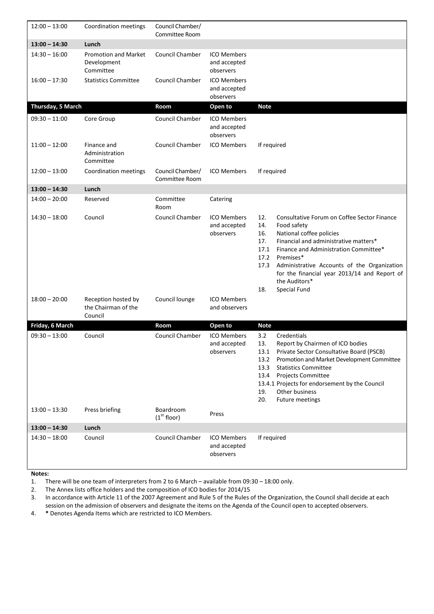| $12:00 - 13:00$   | Coordination meetings                                   | Council Chamber/<br>Committee Room   |                                                 |                                                                                                                                                                                                                                                                                                                                                                                  |
|-------------------|---------------------------------------------------------|--------------------------------------|-------------------------------------------------|----------------------------------------------------------------------------------------------------------------------------------------------------------------------------------------------------------------------------------------------------------------------------------------------------------------------------------------------------------------------------------|
| $13:00 - 14:30$   | Lunch                                                   |                                      |                                                 |                                                                                                                                                                                                                                                                                                                                                                                  |
| $14:30 - 16:00$   | <b>Promotion and Market</b><br>Development<br>Committee | Council Chamber                      | <b>ICO Members</b><br>and accepted<br>observers |                                                                                                                                                                                                                                                                                                                                                                                  |
| $16:00 - 17:30$   | <b>Statistics Committee</b>                             | Council Chamber                      | <b>ICO Members</b><br>and accepted<br>observers |                                                                                                                                                                                                                                                                                                                                                                                  |
| Thursday, 5 March |                                                         | Room                                 | Open to                                         | <b>Note</b>                                                                                                                                                                                                                                                                                                                                                                      |
| $09:30 - 11:00$   | Core Group                                              | Council Chamber                      | <b>ICO Members</b><br>and accepted<br>observers |                                                                                                                                                                                                                                                                                                                                                                                  |
| $11:00 - 12:00$   | Finance and<br>Administration<br>Committee              | <b>Council Chamber</b>               | <b>ICO Members</b>                              | If required                                                                                                                                                                                                                                                                                                                                                                      |
| $12:00 - 13:00$   | Coordination meetings                                   | Council Chamber/<br>Committee Room   | <b>ICO Members</b>                              | If required                                                                                                                                                                                                                                                                                                                                                                      |
| $13:00 - 14:30$   | Lunch                                                   |                                      |                                                 |                                                                                                                                                                                                                                                                                                                                                                                  |
| $14:00 - 20:00$   | Reserved                                                | Committee<br>Room                    | Catering                                        |                                                                                                                                                                                                                                                                                                                                                                                  |
| $14:30 - 18:00$   | Council                                                 | Council Chamber                      | <b>ICO Members</b><br>and accepted<br>observers | 12.<br>Consultative Forum on Coffee Sector Finance<br>Food safety<br>14.<br>National coffee policies<br>16.<br>Financial and administrative matters*<br>17.<br>17.1<br>Finance and Administration Committee*<br>Premises*<br>17.2<br>Administrative Accounts of the Organization<br>17.3<br>for the financial year 2013/14 and Report of<br>the Auditors*<br>18.<br>Special Fund |
| $18:00 - 20:00$   | Reception hosted by<br>the Chairman of the<br>Council   | Council lounge                       | <b>ICO Members</b><br>and observers             |                                                                                                                                                                                                                                                                                                                                                                                  |
| Friday, 6 March   |                                                         | Room                                 | Open to                                         | <b>Note</b>                                                                                                                                                                                                                                                                                                                                                                      |
| $09:30 - 13:00$   | Council                                                 | Council Chamber                      | <b>ICO Members</b><br>and accepted<br>observers | 3.2<br>Credentials<br>13.<br>Report by Chairmen of ICO bodies<br>Private Sector Consultative Board (PSCB)<br>13.1<br>13.2<br>Promotion and Market Development Committee<br>13.3<br><b>Statistics Committee</b><br>13.4<br><b>Projects Committee</b><br>13.4.1 Projects for endorsement by the Council<br>Other business<br>19.<br>20.<br>Future meetings                         |
| $13:00 - 13:30$   | Press briefing                                          | Boardroom<br>(1 <sup>st</sup> floor) | Press                                           |                                                                                                                                                                                                                                                                                                                                                                                  |
| $13:00 - 14:30$   | Lunch                                                   |                                      |                                                 |                                                                                                                                                                                                                                                                                                                                                                                  |
| $14:30 - 18:00$   | Council                                                 | Council Chamber                      | <b>ICO Members</b><br>and accepted<br>observers | If required                                                                                                                                                                                                                                                                                                                                                                      |

**Notes:** 

1. There will be one team of interpreters from 2 to 6 March – available from 09:30 – 18:00 only.

2. The Annex lists office holders and the composition of ICO bodies for 2014/15

3. In accordance with Article 11 of the 2007 Agreement and Rule 5 of the Rules of the Organization, the Council shall decide at each session on the admission of observers and designate the items on the Agenda of the Council open to accepted observers.

4. **\*** Denotes Agenda Items which are restricted to ICO Members.